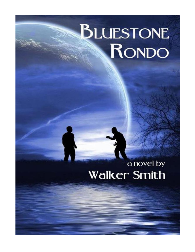## BLUESTONE RONDO

## a novel by **Walker Smith**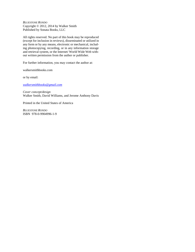*BLUESTONE RONDO* Copyright © 2012, 2014 by Walker Smith Published by Sonata Books, LLC

All rights reserved. No part of this book may be reproduced (except for inclusion in reviews), disseminated or utilized in any form or by any means, electronic or mechanical, including photocopying, recording, or in any information storage and retrieval system, or the Internet/ World Wide Web without written permission from the author or publisher.

For further information, you may contact the author at:

walkersmithbooks.com

or by email:

*walkersmithbooks@gmail.com*

*Cover concept/design* Walker Smith, David Williams, and Jerome Anthony Davis

Printed in the United States of America

*BLUESTONE RONDO* ISBN 978-0-9904996-1-9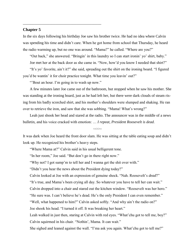## **Chapter 5**

In the six days following his birthday Joe saw his brother twice. He had no idea where Calvin was spending his time and didn't care. When he got home from school that Thursday, he heard the radio warming up, but no one was around. "Mama?" he called. "Where are you?"

"Out back," she answered. "Bringin' in this laundry so I can start ironin' yo' shirt, baby." Joe met her at the back door as she came in. "Now, how'd you know I needed that shirt?"

"It's yo' favorite, ain't it?" she said, spreading out the shirt on the ironing board. "I figured you'd be wantin' it for choir practice tonight. What time you leavin' out?"

"'Bout an hour. I'm going in to wash up now."

\_\_\_\_\_\_\_\_\_\_\_\_\_\_\_\_\_\_\_\_\_\_\_\_\_\_\_\_\_\_\_\_\_\_\_\_\_\_\_\_\_

A few minutes later Joe came out of the bathroom, but stopped when he saw his mother. She was standing at the ironing board, just as he had left her, but there were dark clouds of steam rising from his badly scorched shirt, and his mother's shoulders were slumped and shaking. He ran over to retrieve the iron, and saw that she was sobbing. "Mama! What's wrong?"

Leah just shook her head and stared at the radio. The announcer was in the middle of a news bulletin, and his voice cracked with emotion: … *I repeat, President Roosevelt is dead.*

≈∞≈

It was dark when Joe heard the front door slam. He was sitting at the table eating soup and didn't look up. He recognized his brother's heavy steps.

"Where Mama at?" Calvin said in his usual belligerent tone.

"In her room," Joe said. "But don't go in there right now."

"Why not? I got sump'm to tell her and I wanna get the shit over with."

"Didn't you hear the news about the President dying today?"

Calvin looked at Joe with an expression of genuine shock. "Nah. Roosevelt's *dead*?"

"It's true, and Mama's been crying all day. So whatever you have to tell her can wait."

Calvin dropped into a chair and stared out the kitchen window. "Roosevelt was her hero."

"He sure was. I can't believe he's dead. He's the only President I can even remember."

"Well, what happened to him?" Calvin asked softly. "And why ain't the radio on?"

Joe shook his head. "I turned it off. It was breaking her heart."

Leah walked in just then, staring at Calvin with red eyes. "What'chu got to tell me, boy?" Calvin squirmed in his chair. "Nothin', Mama. It can wait."

She sighed and leaned against the wall. "I'ma ask you again. What'chu got to tell me?"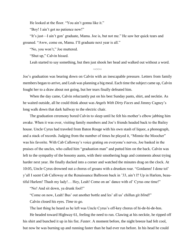He looked at the floor. "You ain't gonna like it."

"Boy! I ain't got no patience now!"

"It's just—I ain't gon' graduate, Mama. Joe is, but not me." He saw her quick tears and groaned. "Aww, come on, Mama. I'll graduate next year is all."

"No, you won't," Joe muttered.

"Shut up," Calvin hissed.

Leah started to say something, but then just shook her head and walked out without a word.

≈∞≈

Joe's graduation was bearing down on Calvin with an inescapable pressure. Letters from family members began to arrive, and Leah was planning a big meal. Each time the subject came up, Calvin fought her to a draw about not going, but her tears finally defeated him.

When the day came, Calvin reluctantly put on his best Sunday pants, shirt, and necktie. As he waited outside, all he could think about was *Angels With Dirty Faces* and Jimmy Cagney's long walk down that dark hallway to the electric chair.

The graduation ceremony bored Calvin to sleep until he felt his mother's elbow jabbing him awake. When it was over, visiting family members and Joe's friends headed back to the Bailey house. Uncle Cyrus had traveled from Baton Rouge with his own stash of liquor, a phonograph, and a stack of records. Judging from the number of times he played it, "Minnie the Moocher" was his favorite. With Cab Calloway's voice grating on everyone's nerves, Joe basked in the praises of the uncles, who called him "graduation man" and patted him on the back. Calvin was left to the sympathy of the bosomy aunts, with their smothering hugs and comments about trying harder next year. He finally ducked into a corner and watched the minutes drag on the clock. At 10:05, Uncle Cyrus drowned out a chorus of groans with a drunken roar. "*Got*damn! I done tol' y'all I seent Cab Calloway at the Renaissance Ballroom back in '33, ain't I? Up in Harlem, beautiful Harlem! Thash my lady!… Hey, Leah! Come on an' dance with ol' Cyrus one time!"

"No! And sit down, ya drunk fool!"

"Come on now, Leah! Bus' out another bottle and les' all us' chillun git *blind!*" Calvin closed his eyes. *Time to go.*

The last thing he heard as he left was Uncle Cyrus's off-key chorus of hi-de-hi-de-hos.

He headed toward Highway 61, feeling the need to run. Clawing at his necktie, he ripped off his shirt and bunched it up in his fist. *Faster*. A moment before, the night breeze had felt cool, but now he was burning up and running faster than he had ever run before. In his head he could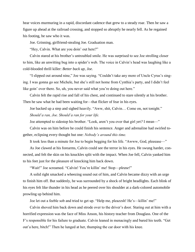hear voices murmuring in a rapid, discordant cadence that grew to a steady roar. Then he saw a figure up ahead at the railroad crossing, and stopped so abruptly he nearly fell. As he regained his footing, he saw who it was.

Joe. Grinning, girlfriend-stealing Joe. Graduation man.

"Hey, Calvin. What are you doin' out here?"

Calvin stared at his brother's untroubled smile. He was surprised to see Joe strolling closer to him, like an unwitting bug into a spider's web. The voice in Calvin's head was laughing like a cold-blooded thrill killer: *Better back up, Joe.*

"I slipped out around nine," Joe was saying. "Couldn't take any more of Uncle Cyrus's singing. I was gonna go see Michele, but she's still not home from Cynthia's party, and I didn't feel like goin' over there. So, uh, you never said what you're doing out here."

Calvin felt the rapid rise and fall of his chest, and continued to stare silently at his brother. Then he saw what he had been waiting for—that flicker of fear in his eyes.

Joe backed up a step and sighed heavily. "Aww, shit, Calvin… Come on, not tonight." *Should'a ran, Joe. Should'a ran for your life.*

Joe attempted to sidestep his brother. "Look, aren't you over that girl *yet?* I mean—"

Calvin was on him before he could finish his sentence. Anger and adrenaline had swirled together, eclipsing every thought but one: *Nobody's around this time.*

It took less than a minute for Joe to begin begging for his life. "Awww, God, pleeease—"

As Joe clawed at his forearms, Calvin could see the terror in his eyes. He swung harder, connected, and felt the skin on his knuckles split with the impact. When Joe fell, Calvin yanked him to his feet just for the pleasure of knocking him back down.

"Wait!" Joe screamed. "Calvin! You're killin' me! Stop—*please!*"

A solid right smacked a wheezing sound out of him, and Calvin became dizzy with an urge to finish him off. But suddenly, he was surrounded by a shock of bright headlights. Each blink of his eyes felt like thunder in his head as he peered over his shoulder at a dark-colored automobile prowling up behind him.

Joe let out a feeble sob and tried to get up. "Help me, pleazzsh! He's—killin' me!"

Calvin shoved him back down and strode over to the driver's door. Staring out at him with a horrified expression was the face of Miss Anson, his history teacher from Douglass. One of the F's responsible for his failure to graduate. Calvin leaned in menacingly and bared his teeth. "Get out'a here, bitch!" Then he lunged at her, thumping the car door with his knee.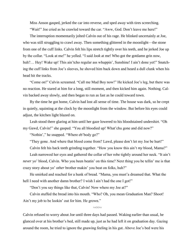Miss Anson gasped, jerked the car into reverse, and sped away with tires screeching.

"Wait!" Joe cried as he crawled toward the car. "Aww, God. Don't leave me here!"

The interruption momentarily jolted Calvin out of his rage. He blinked uncertainly at Joe, who was still struggling to crawl away. Then something glittered in the moonlight—the stone from one of the cuff links. Calvin felt his lips stretch tightly over his teeth, and he jerked Joe up by the collar. "Look at me!" he yelled. "I said *look* at me! Who got the gotdamn grin now, huh?... Hey! Wake up! This ain'tcho regular ass whuppin', Sunshine! I ain't done yet!" Snatching the cuff links from Joe's sleeves, he shoved him back down and heard a dull clunk when his head hit the tracks.

"Come on!" Calvin screamed. "Call me Mud Boy now!" He kicked Joe's leg, but there was no reaction. He stared at him for a long, still moment, and then kicked him again. Nothing. Calvin backed away slowly, and then began to run as fast as he could toward town.

By the time he got home, Calvin had lost all sense of time. The house was dark, so he crept in quietly, squinting at the clock by the moonlight from the window. But before his eyes could adjust, the kitchen light blazed on.

Leah stood there glaring at him until her gaze lowered to his bloodstained undershirt. "Oh my Gawd, Calvin!" she gasped. "You all bloodied up! What'chu gone and did now?"

"Nothin'," he snapped. "Where eb'body go?"

"They gone. And where that blood come from? Lawd, please don't let my Joe be hurt!"

Calvin felt his back teeth grinding together. "How you know this ain't *my* blood, Mama?"

Leah narrowed her eyes and gathered the collar of her robe tightly around her neck. "It ain't *never* yo' blood, Calvin. Who you been beatin' on this time? Next thing you be tellin' me is that crazy story about yo' *other* brother makin' you beat on folks, huh?"

He smirked and reached for a hunk of bread. "Mama, you must'a dreamed that. What the hell I need with another damn brother? I wish I ain't had the one I got!"

"Don't you say things like that, Calvin! Now where my Joe at?"

Calvin stuffed the bread into his mouth. "Who? Oh, you mean Graduation Man? Shoot! Ain't my job to be lookin' out for him. He grown."

Calvin refused to worry about Joe until three days had passed. Waking earlier than usual, he glanced over at his brother's bed, still made up, just as he had left it on graduation day. Gazing around the room, he tried to ignore the gnawing feeling in his gut. Above Joe's bed were his

≈∞≈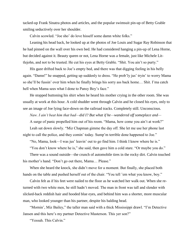tacked-up Frank Sinatra photos and articles, and the popular swimsuit pin-up of Betty Grable smiling seductively over her shoulder.

Calvin scowled. "Joe sho' do love hisself some damn white folks."

Leaning his head back, he looked up at the photos of Joe Louis and Sugar Ray Robinson that he had pinned on the wall over his own bed. He had considered hanging a pin-up of Lena Horne, but decided against it. Beauty queen or not, Lena Horne was a female, just like Michele Littlejohn, and not to be trusted. He cut his eyes at Betty Grable. "Shit. You ain't so purty."

His gaze drifted back to Joe's empty bed, and there was that digging feeling in his belly again. "Damn!" he snapped, getting up suddenly to dress. "He prob'ly jus' tryin' to worry Mama so she'll be fussin' over him when he finally brings his sorry ass back home… Shit. I'ma catch hell when Mama sees what I done to Pansy Boy's face."

He stopped buttoning his shirt when he heard his mother crying in the other room. She was usually at work at this hour. A cold shudder went through Calvin and he closed his eyes, only to see an image of Joe lying face-down on the railroad tracks. Completely still. Unconscious.

*Naw. I ain't beat him that bad—did I? But what if he—wandered off someplace and—*

A surge of panic propelled him out of his room. "Mama, how come you ain't at work?"

Leah sat down slowly. "Miz Chapman gimme the day off. She let me use her phone last night to call the police, and they comin' today. Sump'm terrible done happened to Joe."

"No, Mama, look—I was jus' leavin' out to go find him. I think I know where he is."

"You don't know where he is," she said, then gave him a cold stare. "Or maybe you do."

There was a sound outside*—*the crunch of automobile tires in the rocky dirt. Calvin touched his mother's hand. "Don't go out there, Mama... Please."

When she heard the knock, she didn't move for a moment. But finally, she placed both hands on the table and pushed herself out of the chair. "You tell 'em what you know, boy."

Calvin felt as if his feet were nailed to the floor as he watched her walk out. When she returned with two white men, he still hadn't moved. The man in front was tall and slender with slicked-back reddish hair and hooded blue eyes, and behind him was a shorter, more muscular man, who looked younger than his partner, despite his balding head.

"Mornin', Miz Bailey," the taller man said with a thick Mississippi drawl. "I'm Detective Jansen and this here's my partner Detective Masterson. This yer son?"

"Yessuh. This Calvin."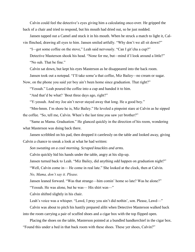Calvin could feel the detective's eyes giving him a calculating once-over. He gripped the back of a chair and tried to respond, but his mouth had dried out, so he just nodded.

Jansen tapped out a Camel and stuck it in his mouth. When he struck a match to light it, Calvin flinched, drawing all eyes to him. Jansen smiled artfully. "Why don't we all sit down?"

"I*—*got some coffee on the stove," Leah said nervously. "Can I git'cha a cup?"

Detective Masterson shook his head. "None for me, but*—*mind if I look around a little?" "No suh. That be fine."

Calvin sat down, but kept his eyes Masterson as he disappeared into the back room.

Jansen took out a notepad. "I'll take some'a that coffee, Miz Bailey*—*no cream or sugar.

Now, on the phone you said yer boy ain't been home since graduation. That right?"

"Yessuh." Leah poured the coffee into a cup and handed it to him.

"And that'd be what? 'Bout three days ago, right?"

"Y-yessuh. And my Joe ain't never stayed away that long. He a good boy."

"Mm-hmm. I'm shore he is, Miz Bailey." He leveled a pinpoint stare at Calvin as he sipped the coffee. "So, tell me, Calvin. When's the last time *you* saw yer brother?"

"Same as Mama. Graduation." He glanced quickly in the direction of his room, wondering what Masterson was doing back there.

Jansen scribbled on his pad, then dropped it carelessly on the table and looked away, giving Calvin a chance to sneak a look at what he had written:

*Son sweating on a cool morning. Scraped knuckles and arms.*

Calvin quickly hid his hands under the table, angry at his slip-up.

Jansen turned back to Leah. "Miz Bailey, did anything odd happen on graduation night?"

"Well, Calvin come in— He come in real late." She looked at the clock, then at Calvin.

*No, Mama, don't say it. Please.* 

Jansen leaned forward. "Was that strange—him comin' home so late? Was he alone?"

"Yessuh. He was alone, but he was— His shirt was—"

Calvin shifted slightly in his chair.

Leah's voice was a whisper. "Lawd, I pray you ain't did nothin', son. Please, Lawd—"

Calvin was about to pitch his hastily prepared alibi when Detective Masterson walked back into the room carrying a pair of scuffed shoes and a cigar box with the top flipped open.

Placing the shoes on the table, Masterson pointed at a bundled handkerchief in the cigar box. "Found this under a bed in that back room with these shoes. These yer shoes, Calvin?"